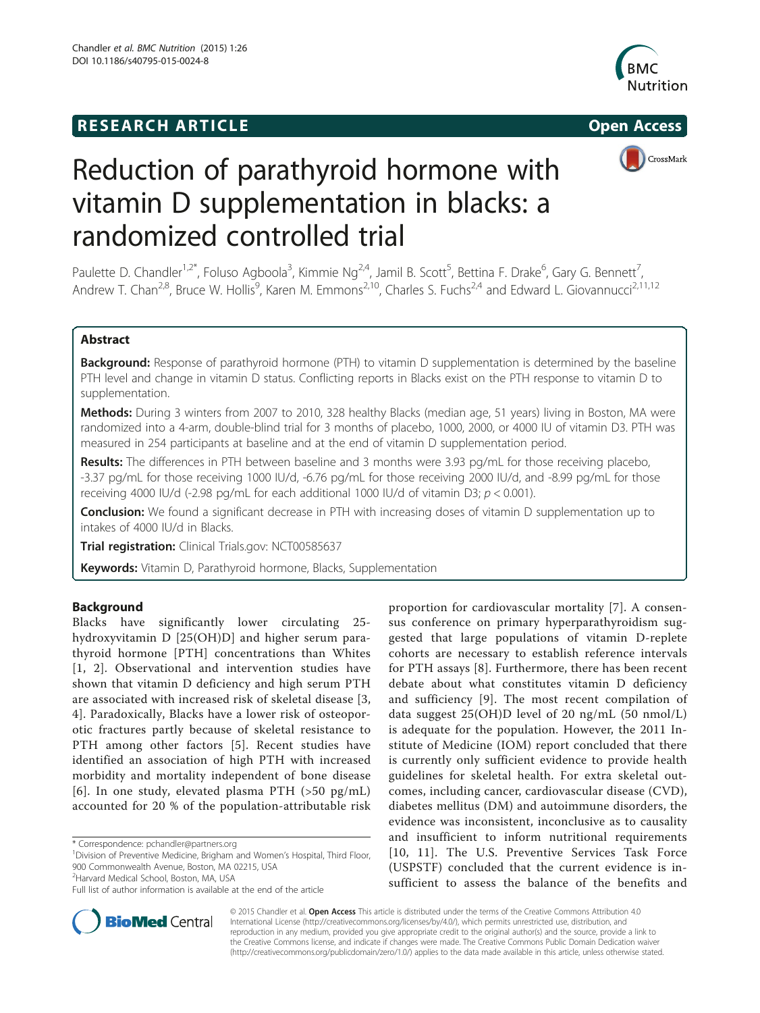# **RESEARCH ARTICLE Example 2014 CONSIDERING CONSIDERING CONSIDERING CONSIDERING CONSIDERING CONSIDERING CONSIDERING CONSIDERING CONSIDERING CONSIDERING CONSIDERING CONSIDERING CONSIDERING CONSIDERING CONSIDERING CONSIDE**





# Reduction of parathyroid hormone with vitamin D supplementation in blacks: a randomized controlled trial

Paulette D. Chandler<sup>1,2\*</sup>, Foluso Agboola<sup>3</sup>, Kimmie Ng<sup>2,4</sup>, Jamil B. Scott<sup>5</sup>, Bettina F. Drake<sup>6</sup>, Gary G. Bennett<sup>7</sup> , Andrew T. Chan<sup>2,8</sup>, Bruce W. Hollis<sup>9</sup>, Karen M. Emmons<sup>2,10</sup>, Charles S. Fuchs<sup>2,4</sup> and Edward L. Giovannucci<sup>2,11,12</sup>

# Abstract

Background: Response of parathyroid hormone (PTH) to vitamin D supplementation is determined by the baseline PTH level and change in vitamin D status. Conflicting reports in Blacks exist on the PTH response to vitamin D to supplementation.

Methods: During 3 winters from 2007 to 2010, 328 healthy Blacks (median age, 51 years) living in Boston, MA were randomized into a 4-arm, double-blind trial for 3 months of placebo, 1000, 2000, or 4000 IU of vitamin D3. PTH was measured in 254 participants at baseline and at the end of vitamin D supplementation period.

Results: The differences in PTH between baseline and 3 months were 3.93 pg/mL for those receiving placebo, -3.37 pg/mL for those receiving 1000 IU/d, -6.76 pg/mL for those receiving 2000 IU/d, and -8.99 pg/mL for those receiving 4000 IU/d (-2.98 pg/mL for each additional 1000 IU/d of vitamin D3;  $p < 0.001$ ).

**Conclusion:** We found a significant decrease in PTH with increasing doses of vitamin D supplementation up to intakes of 4000 IU/d in Blacks.

Trial registration: Clinical Trials.gov: [NCT00585637](https://clinicaltrials.gov/ct2/show/NCT00585637)

Keywords: Vitamin D, Parathyroid hormone, Blacks, Supplementation

# Background

Blacks have significantly lower circulating 25 hydroxyvitamin D [25(OH)D] and higher serum parathyroid hormone [PTH] concentrations than Whites [[1](#page-7-0), [2\]](#page-7-0). Observational and intervention studies have shown that vitamin D deficiency and high serum PTH are associated with increased risk of skeletal disease [\[3](#page-7-0), [4\]](#page-7-0). Paradoxically, Blacks have a lower risk of osteoporotic fractures partly because of skeletal resistance to PTH among other factors [\[5](#page-7-0)]. Recent studies have identified an association of high PTH with increased morbidity and mortality independent of bone disease [[6](#page-7-0)]. In one study, elevated plasma PTH (>50 pg/mL) accounted for 20 % of the population-attributable risk

\* Correspondence: [pchandler@partners.org](mailto:pchandler@partners.org) <sup>1</sup>

<sup>1</sup> Division of Preventive Medicine, Brigham and Women's Hospital, Third Floor, 900 Commonwealth Avenue, Boston, MA 02215, USA

<sup>2</sup>Harvard Medical School, Boston, MA, USA

proportion for cardiovascular mortality [[7\]](#page-7-0). A consensus conference on primary hyperparathyroidism suggested that large populations of vitamin D-replete cohorts are necessary to establish reference intervals for PTH assays [[8\]](#page-7-0). Furthermore, there has been recent debate about what constitutes vitamin D deficiency and sufficiency [[9\]](#page-7-0). The most recent compilation of data suggest 25(OH)D level of 20 ng/mL (50 nmol/L) is adequate for the population. However, the 2011 Institute of Medicine (IOM) report concluded that there is currently only sufficient evidence to provide health guidelines for skeletal health. For extra skeletal outcomes, including cancer, cardiovascular disease (CVD), diabetes mellitus (DM) and autoimmune disorders, the evidence was inconsistent, inconclusive as to causality and insufficient to inform nutritional requirements [[10](#page-7-0), [11](#page-7-0)]. The U.S. Preventive Services Task Force (USPSTF) concluded that the current evidence is insufficient to assess the balance of the benefits and



© 2015 Chandler et al. Open Access This article is distributed under the terms of the Creative Commons Attribution 4.0 International License [\(http://creativecommons.org/licenses/by/4.0/](http://creativecommons.org/licenses/by/4.0/)), which permits unrestricted use, distribution, and reproduction in any medium, provided you give appropriate credit to the original author(s) and the source, provide a link to the Creative Commons license, and indicate if changes were made. The Creative Commons Public Domain Dedication waiver [\(http://creativecommons.org/publicdomain/zero/1.0/](http://creativecommons.org/publicdomain/zero/1.0/)) applies to the data made available in this article, unless otherwise stated.

Full list of author information is available at the end of the article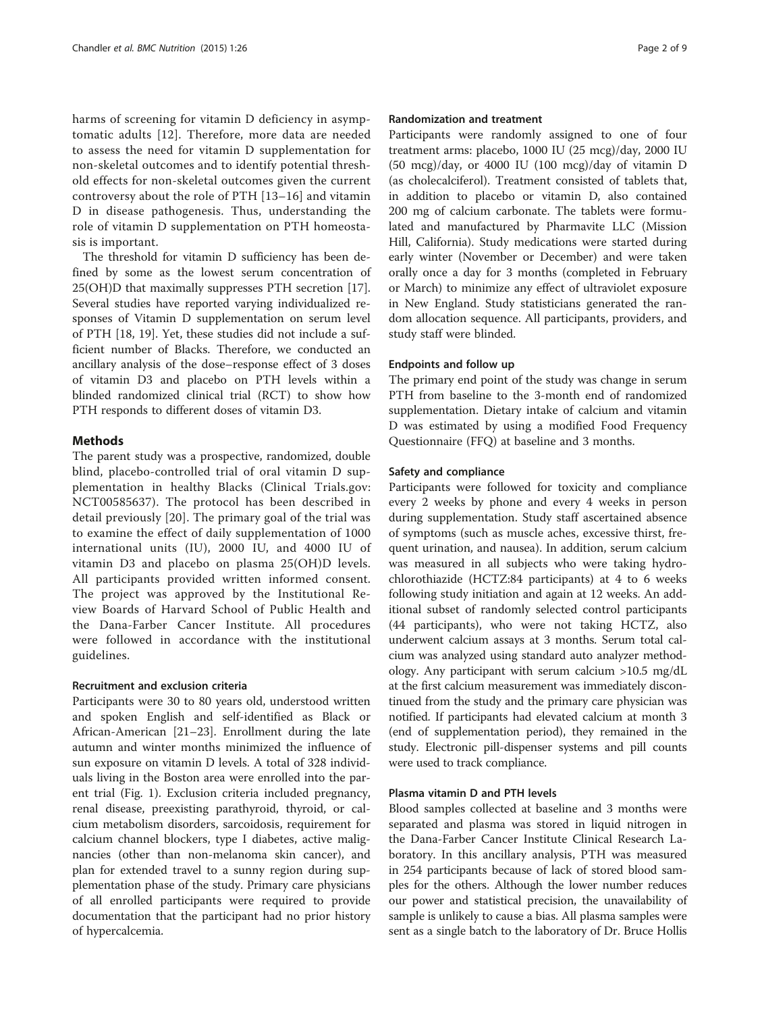harms of screening for vitamin D deficiency in asymptomatic adults [\[12\]](#page-7-0). Therefore, more data are needed to assess the need for vitamin D supplementation for non-skeletal outcomes and to identify potential threshold effects for non-skeletal outcomes given the current controversy about the role of PTH [[13](#page-7-0)–[16](#page-7-0)] and vitamin D in disease pathogenesis. Thus, understanding the role of vitamin D supplementation on PTH homeostasis is important.

The threshold for vitamin D sufficiency has been defined by some as the lowest serum concentration of 25(OH)D that maximally suppresses PTH secretion [\[17](#page-7-0)]. Several studies have reported varying individualized responses of Vitamin D supplementation on serum level of PTH [[18, 19\]](#page-7-0). Yet, these studies did not include a sufficient number of Blacks. Therefore, we conducted an ancillary analysis of the dose–response effect of 3 doses of vitamin D3 and placebo on PTH levels within a blinded randomized clinical trial (RCT) to show how PTH responds to different doses of vitamin D3.

## Methods

The parent study was a prospective, randomized, double blind, placebo-controlled trial of oral vitamin D supplementation in healthy Blacks (Clinical Trials.gov: NCT00585637). The protocol has been described in detail previously [[20\]](#page-7-0). The primary goal of the trial was to examine the effect of daily supplementation of 1000 international units (IU), 2000 IU, and 4000 IU of vitamin D3 and placebo on plasma 25(OH)D levels. All participants provided written informed consent. The project was approved by the Institutional Review Boards of Harvard School of Public Health and the Dana-Farber Cancer Institute. All procedures were followed in accordance with the institutional guidelines.

#### Recruitment and exclusion criteria

Participants were 30 to 80 years old, understood written and spoken English and self-identified as Black or African-American [[21](#page-7-0)–[23](#page-7-0)]. Enrollment during the late autumn and winter months minimized the influence of sun exposure on vitamin D levels. A total of 328 individuals living in the Boston area were enrolled into the parent trial (Fig. [1](#page-2-0)). Exclusion criteria included pregnancy, renal disease, preexisting parathyroid, thyroid, or calcium metabolism disorders, sarcoidosis, requirement for calcium channel blockers, type I diabetes, active malignancies (other than non-melanoma skin cancer), and plan for extended travel to a sunny region during supplementation phase of the study. Primary care physicians of all enrolled participants were required to provide documentation that the participant had no prior history of hypercalcemia.

#### Randomization and treatment

Participants were randomly assigned to one of four treatment arms: placebo, 1000 IU (25 mcg)/day, 2000 IU (50 mcg)/day, or 4000 IU (100 mcg)/day of vitamin D (as cholecalciferol). Treatment consisted of tablets that, in addition to placebo or vitamin D, also contained 200 mg of calcium carbonate. The tablets were formulated and manufactured by Pharmavite LLC (Mission Hill, California). Study medications were started during early winter (November or December) and were taken orally once a day for 3 months (completed in February or March) to minimize any effect of ultraviolet exposure in New England. Study statisticians generated the random allocation sequence. All participants, providers, and study staff were blinded.

## Endpoints and follow up

The primary end point of the study was change in serum PTH from baseline to the 3-month end of randomized supplementation. Dietary intake of calcium and vitamin D was estimated by using a modified Food Frequency Questionnaire (FFQ) at baseline and 3 months.

#### Safety and compliance

Participants were followed for toxicity and compliance every 2 weeks by phone and every 4 weeks in person during supplementation. Study staff ascertained absence of symptoms (such as muscle aches, excessive thirst, frequent urination, and nausea). In addition, serum calcium was measured in all subjects who were taking hydrochlorothiazide (HCTZ:84 participants) at 4 to 6 weeks following study initiation and again at 12 weeks. An additional subset of randomly selected control participants (44 participants), who were not taking HCTZ, also underwent calcium assays at 3 months. Serum total calcium was analyzed using standard auto analyzer methodology. Any participant with serum calcium >10.5 mg/dL at the first calcium measurement was immediately discontinued from the study and the primary care physician was notified. If participants had elevated calcium at month 3 (end of supplementation period), they remained in the study. Electronic pill-dispenser systems and pill counts were used to track compliance.

#### Plasma vitamin D and PTH levels

Blood samples collected at baseline and 3 months were separated and plasma was stored in liquid nitrogen in the Dana-Farber Cancer Institute Clinical Research Laboratory. In this ancillary analysis, PTH was measured in 254 participants because of lack of stored blood samples for the others. Although the lower number reduces our power and statistical precision, the unavailability of sample is unlikely to cause a bias. All plasma samples were sent as a single batch to the laboratory of Dr. Bruce Hollis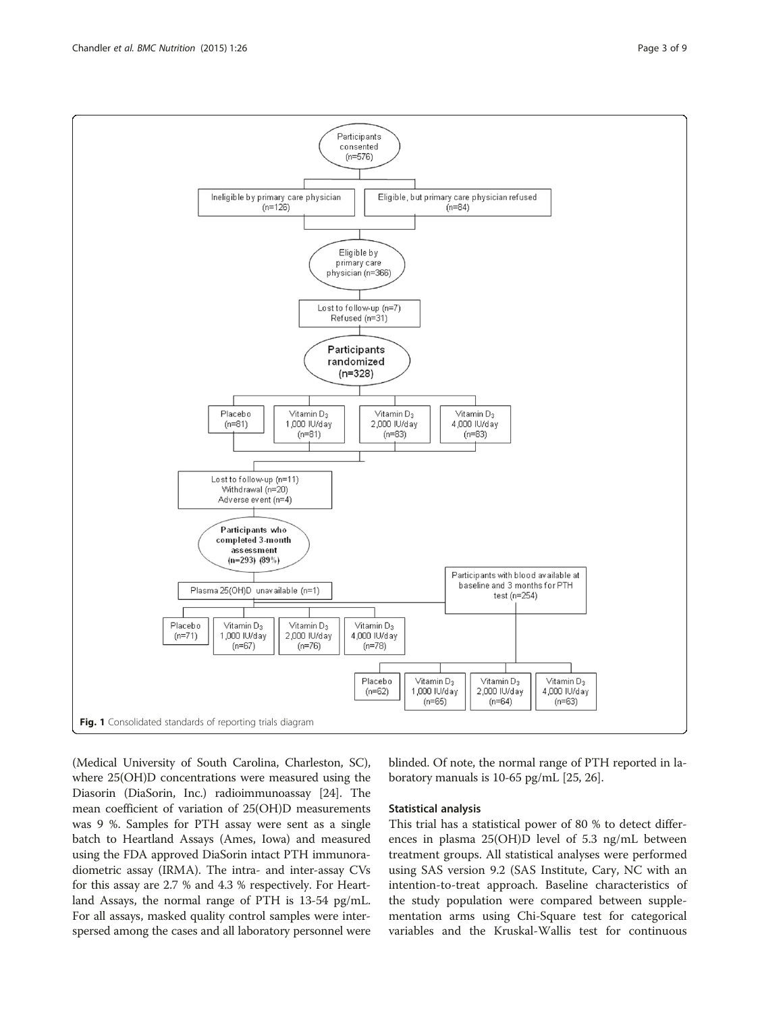<span id="page-2-0"></span>

(Medical University of South Carolina, Charleston, SC), where 25(OH)D concentrations were measured using the Diasorin (DiaSorin, Inc.) radioimmunoassay [\[24\]](#page-7-0). The mean coefficient of variation of 25(OH)D measurements was 9 %. Samples for PTH assay were sent as a single batch to Heartland Assays (Ames, Iowa) and measured using the FDA approved DiaSorin intact PTH immunoradiometric assay (IRMA). The intra- and inter-assay CVs for this assay are 2.7 % and 4.3 % respectively. For Heartland Assays, the normal range of PTH is 13-54 pg/mL. For all assays, masked quality control samples were interspersed among the cases and all laboratory personnel were blinded. Of note, the normal range of PTH reported in laboratory manuals is 10-65 pg/mL [\[25, 26](#page-7-0)].

#### Statistical analysis

This trial has a statistical power of 80 % to detect differences in plasma 25(OH)D level of 5.3 ng/mL between treatment groups. All statistical analyses were performed using SAS version 9.2 (SAS Institute, Cary, NC with an intention-to-treat approach. Baseline characteristics of the study population were compared between supplementation arms using Chi-Square test for categorical variables and the Kruskal-Wallis test for continuous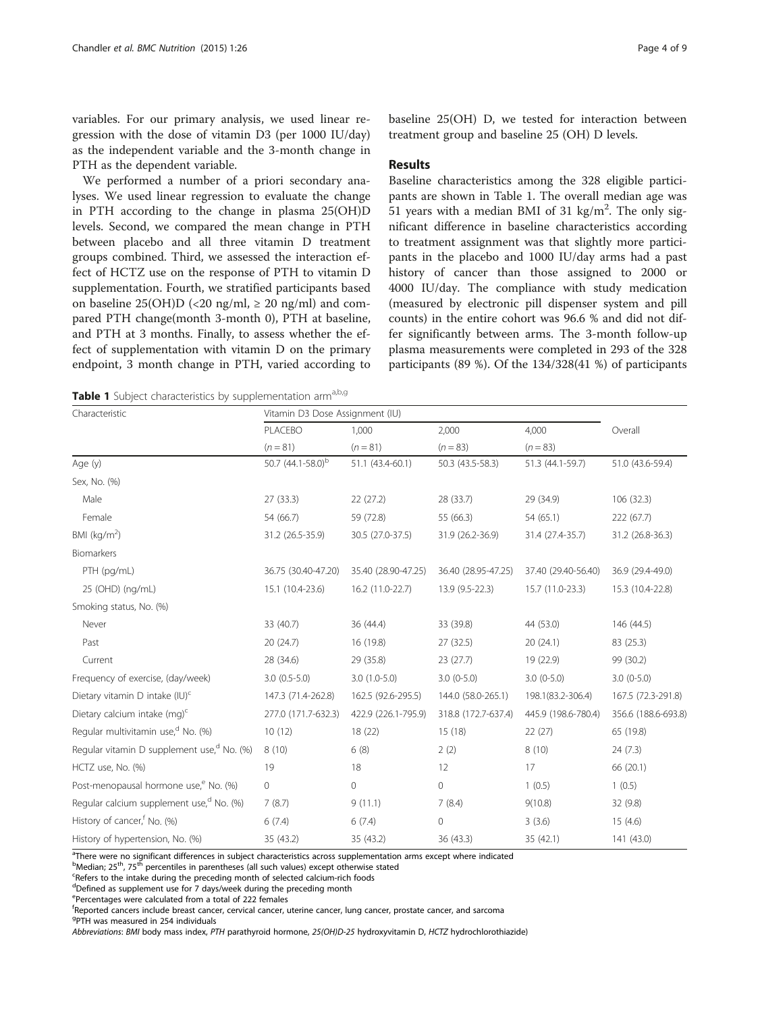<span id="page-3-0"></span>variables. For our primary analysis, we used linear regression with the dose of vitamin D3 (per 1000 IU/day) as the independent variable and the 3-month change in PTH as the dependent variable.

We performed a number of a priori secondary analyses. We used linear regression to evaluate the change in PTH according to the change in plasma 25(OH)D levels. Second, we compared the mean change in PTH between placebo and all three vitamin D treatment groups combined. Third, we assessed the interaction effect of HCTZ use on the response of PTH to vitamin D supplementation. Fourth, we stratified participants based on baseline  $25(OH)D \leq 20$  ng/ml,  $\geq 20$  ng/ml) and compared PTH change(month 3-month 0), PTH at baseline, and PTH at 3 months. Finally, to assess whether the effect of supplementation with vitamin D on the primary endpoint, 3 month change in PTH, varied according to baseline 25(OH) D, we tested for interaction between treatment group and baseline 25 (OH) D levels.

#### Results

Baseline characteristics among the 328 eligible participants are shown in Table 1. The overall median age was 51 years with a median BMI of 31  $\text{kg/m}^2$ . The only significant difference in baseline characteristics according to treatment assignment was that slightly more participants in the placebo and 1000 IU/day arms had a past history of cancer than those assigned to 2000 or 4000 IU/day. The compliance with study medication (measured by electronic pill dispenser system and pill counts) in the entire cohort was 96.6 % and did not differ significantly between arms. The 3-month follow-up plasma measurements were completed in 293 of the 328 participants (89 %). Of the 134/328(41 %) of participants

Table 1 Subject characteristics by supplementation arm<sup>a,b,g</sup>

| Characteristic                                         | Vitamin D3 Dose Assignment (IU) |                     |                     |                     |                     |  |
|--------------------------------------------------------|---------------------------------|---------------------|---------------------|---------------------|---------------------|--|
|                                                        | PLACEBO                         | 1,000               | 2,000               | 4,000               | Overall             |  |
|                                                        | $(n = 81)$                      | $(n = 81)$          | $(n = 83)$          | $(n = 83)$          |                     |  |
| Age (y)                                                | 50.7 (44.1-58.0) <sup>b</sup>   | 51.1 (43.4-60.1)    | 50.3 (43.5-58.3)    | 51.3 (44.1-59.7)    | 51.0 (43.6-59.4)    |  |
| Sex, No. (%)                                           |                                 |                     |                     |                     |                     |  |
| Male                                                   | 27(33.3)                        | 22(27.2)            | 28 (33.7)           | 29 (34.9)           | 106 (32.3)          |  |
| Female                                                 | 54 (66.7)                       | 59 (72.8)           | 55 (66.3)           | 54 (65.1)           | 222 (67.7)          |  |
| BMI ( $kg/m2$ )                                        | 31.2 (26.5-35.9)                | 30.5 (27.0-37.5)    | 31.9 (26.2-36.9)    | 31.4 (27.4-35.7)    | 31.2 (26.8-36.3)    |  |
| Biomarkers                                             |                                 |                     |                     |                     |                     |  |
| PTH (pg/mL)                                            | 36.75 (30.40-47.20)             | 35.40 (28.90-47.25) | 36.40 (28.95-47.25) | 37.40 (29.40-56.40) | 36.9 (29.4-49.0)    |  |
| 25 (OHD) (ng/mL)                                       | 15.1 (10.4-23.6)                | 16.2 (11.0-22.7)    | 13.9 (9.5-22.3)     | 15.7 (11.0-23.3)    | 15.3 (10.4-22.8)    |  |
| Smoking status, No. (%)                                |                                 |                     |                     |                     |                     |  |
| Never                                                  | 33 (40.7)                       | 36 (44.4)           | 33 (39.8)           | 44 (53.0)           | 146 (44.5)          |  |
| Past                                                   | 20 (24.7)                       | 16 (19.8)           | 27 (32.5)           | 20(24.1)            | 83 (25.3)           |  |
| Current                                                | 28 (34.6)                       | 29 (35.8)           | 23(27.7)            | 19 (22.9)           | 99 (30.2)           |  |
| Frequency of exercise, (day/week)                      | $3.0(0.5-5.0)$                  | $3.0(1.0-5.0)$      | $3.0(0-5.0)$        | $3.0(0-5.0)$        | $3.0(0-5.0)$        |  |
| Dietary vitamin D intake (IU) <sup>c</sup>             | 147.3 (71.4-262.8)              | 162.5 (92.6-295.5)  | 144.0 (58.0-265.1)  | 198.1(83.2-306.4)   | 167.5 (72.3-291.8)  |  |
| Dietary calcium intake (mg) <sup>c</sup>               | 277.0 (171.7-632.3)             | 422.9 (226.1-795.9) | 318.8 (172.7-637.4) | 445.9 (198.6-780.4) | 356.6 (188.6-693.8) |  |
| Regular multivitamin use, <sup>d</sup> No. (%)         | 10(12)                          | 18 (22)             | 15(18)              | 22(27)              | 65 (19.8)           |  |
| Regular vitamin D supplement use, <sup>d</sup> No. (%) | 8(10)                           | 6(8)                | 2(2)                | 8(10)               | 24(7.3)             |  |
| HCTZ use, No. (%)                                      | 19                              | 18                  | 12                  | 17                  | 66 (20.1)           |  |
| Post-menopausal hormone use, <sup>e</sup> No. (%)      | $\mathbf 0$                     | $\circ$             | $\circ$             | 1(0.5)              | 1(0.5)              |  |
| Regular calcium supplement use, <sup>d</sup> No. (%)   | 7(8.7)                          | 9(11.1)             | 7(8.4)              | 9(10.8)             | 32(9.8)             |  |
| History of cancer, <sup>f</sup> No. (%)                | 6(7.4)                          | 6(7.4)              | $\circ$             | 3(3.6)              | 15(4.6)             |  |
| History of hypertension, No. (%)                       | 35 (43.2)                       | 35 (43.2)           | 36 (43.3)           | 35 (42.1)           | 141 (43.0)          |  |

<sup>a</sup>There were no significant differences in subject characteristics across supplementation arms except where indicated

b<sub>Median;</sub> 25<sup>th</sup>, 75<sup>th</sup> percentiles in parentheses (all such values) except otherwise stated<br>Spefers to the intake during the preceding month of selected calcium-rich foods

Refers to the intake during the preceding month of selected calcium-rich foods

<sup>d</sup>Defined as supplement use for 7 days/week during the preceding month

e Percentages were calculated from a total of 222 females

f Reported cancers include breast cancer, cervical cancer, uterine cancer, lung cancer, prostate cancer, and sarcoma

<sup>9</sup>PTH was measured in 254 individuals

Abbreviations: BMI body mass index, PTH parathyroid hormone, 25(OH)D-25 hydroxyvitamin D, HCTZ hydrochlorothiazide)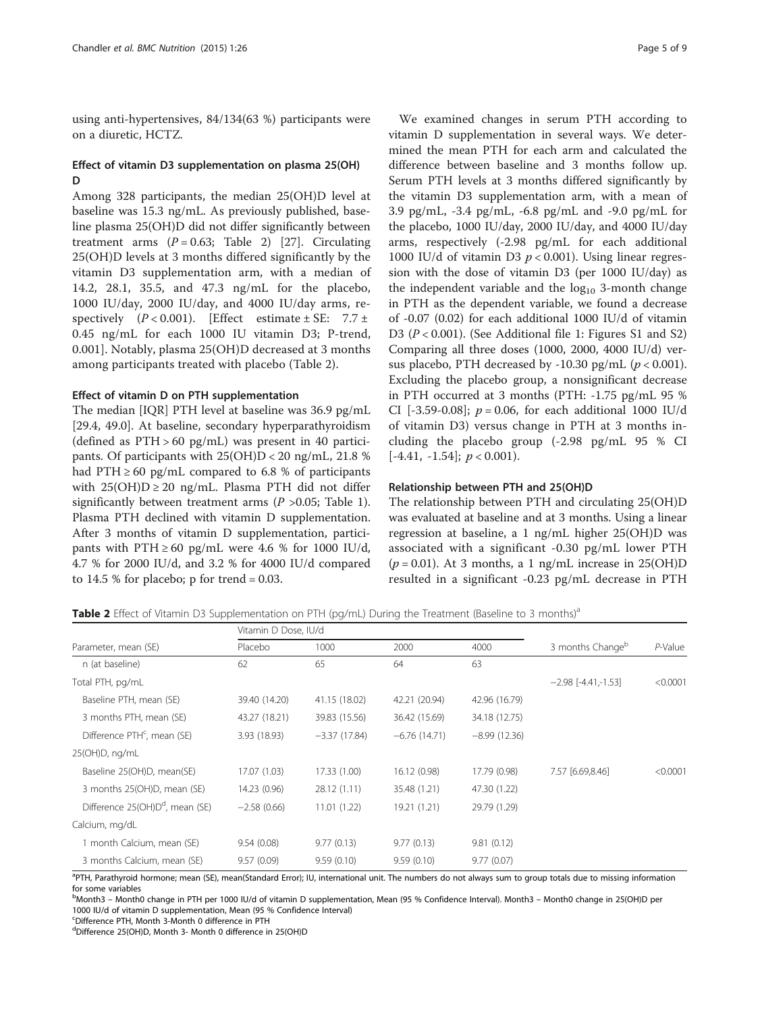using anti-hypertensives, 84/134(63 %) participants were on a diuretic, HCTZ.

# Effect of vitamin D3 supplementation on plasma 25(OH) D

Among 328 participants, the median 25(OH)D level at baseline was 15.3 ng/mL. As previously published, baseline plasma 25(OH)D did not differ significantly between treatment arms  $(P = 0.63;$  Table 2) [[27\]](#page-7-0). Circulating 25(OH)D levels at 3 months differed significantly by the vitamin D3 supplementation arm, with a median of 14.2, 28.1, 35.5, and 47.3 ng/mL for the placebo, 1000 IU/day, 2000 IU/day, and 4000 IU/day arms, respectively  $(P < 0.001)$ . [Effect estimate  $\pm$  SE: 7.7  $\pm$ 0.45 ng/mL for each 1000 IU vitamin D3; P-trend, 0.001]. Notably, plasma 25(OH)D decreased at 3 months among participants treated with placebo (Table 2).

#### Effect of vitamin D on PTH supplementation

The median [IQR] PTH level at baseline was 36.9 pg/mL [29.4, 49.0]. At baseline, secondary hyperparathyroidism (defined as  $PTH > 60$  pg/mL) was present in 40 participants. Of participants with 25(OH)D < 20 ng/mL, 21.8 % had PTH  $\geq$  60 pg/mL compared to 6.8 % of participants with  $25(OH)D \ge 20$  ng/mL. Plasma PTH did not differ significantly between treatment arms  $(P > 0.05$ ; Table [1](#page-3-0)). Plasma PTH declined with vitamin D supplementation. After 3 months of vitamin D supplementation, participants with  $PTH \ge 60$  pg/mL were 4.6 % for 1000 IU/d, 4.7 % for 2000 IU/d, and 3.2 % for 4000 IU/d compared to  $14.5 %$  for placebo; p for trend = 0.03.

We examined changes in serum PTH according to vitamin D supplementation in several ways. We determined the mean PTH for each arm and calculated the difference between baseline and 3 months follow up. Serum PTH levels at 3 months differed significantly by the vitamin D3 supplementation arm, with a mean of 3.9 pg/mL, -3.4 pg/mL, -6.8 pg/mL and -9.0 pg/mL for the placebo, 1000 IU/day, 2000 IU/day, and 4000 IU/day arms, respectively (-2.98 pg/mL for each additional 1000 IU/d of vitamin D3  $p < 0.001$ ). Using linear regression with the dose of vitamin D3 (per 1000 IU/day) as the independent variable and the  $log_{10}$  3-month change in PTH as the dependent variable, we found a decrease of -0.07 (0.02) for each additional 1000 IU/d of vitamin D3  $(P < 0.001)$ . (See Additional file [1:](#page-6-0) Figures S1 and S2) Comparing all three doses (1000, 2000, 4000 IU/d) versus placebo, PTH decreased by -10.30 pg/mL  $(p < 0.001)$ . Excluding the placebo group, a nonsignificant decrease in PTH occurred at 3 months (PTH: -1.75 pg/mL 95 % CI [-3.59-0.08];  $p = 0.06$ , for each additional 1000 IU/d of vitamin D3) versus change in PTH at 3 months including the placebo group (-2.98 pg/mL 95 % CI  $[-4.41, -1.54]$ ;  $p < 0.001$ ).

#### Relationship between PTH and 25(OH)D

The relationship between PTH and circulating 25(OH)D was evaluated at baseline and at 3 months. Using a linear regression at baseline, a 1 ng/mL higher 25(OH)D was associated with a significant -0.30 pg/mL lower PTH  $(p = 0.01)$ . At 3 months, a 1 ng/mL increase in 25(OH)D resulted in a significant -0.23 pg/mL decrease in PTH

Table 2 Effect of Vitamin D3 Supplementation on PTH (pg/mL) During the Treatment (Baseline to 3 months)<sup>a</sup>

| Parameter, mean (SE)                        | Vitamin D Dose, IU/d |                |                |                |                              |          |
|---------------------------------------------|----------------------|----------------|----------------|----------------|------------------------------|----------|
|                                             | Placebo              | 1000           | 2000           | 4000           | 3 months Change <sup>b</sup> | P-Value  |
| n (at baseline)                             | 62                   | 65             | 64             | 63             |                              |          |
| Total PTH, pg/mL                            |                      |                |                |                | $-2.98$ [-4.41,-1.53]        | < 0.0001 |
| Baseline PTH, mean (SE)                     | 39.40 (14.20)        | 41.15 (18.02)  | 42.21 (20.94)  | 42.96 (16.79)  |                              |          |
| 3 months PTH, mean (SE)                     | 43.27 (18.21)        | 39.83 (15.56)  | 36.42 (15.69)  | 34.18 (12.75)  |                              |          |
| Difference PTH <sup>c</sup> , mean (SE)     | 3.93 (18.93)         | $-3.37(17.84)$ | $-6.76(14.71)$ | $-8.99(12.36)$ |                              |          |
| 25(OH)D, ng/mL                              |                      |                |                |                |                              |          |
| Baseline 25(OH)D, mean(SE)                  | 17.07 (1.03)         | 17.33 (1.00)   | 16.12 (0.98)   | 17.79 (0.98)   | 7.57 [6.69,8.46]             | < 0.0001 |
| 3 months 25(OH)D, mean (SE)                 | 14.23 (0.96)         | 28.12 (1.11)   | 35.48 (1.21)   | 47.30 (1.22)   |                              |          |
| Difference 25(OH)D <sup>d</sup> , mean (SE) | $-2.58(0.66)$        | 11.01 (1.22)   | 19.21 (1.21)   | 29.79 (1.29)   |                              |          |
| Calcium, mg/dL                              |                      |                |                |                |                              |          |
| 1 month Calcium, mean (SE)                  | 9.54(0.08)           | 9.77(0.13)     | 9.77(0.13)     | 9.81(0.12)     |                              |          |
| 3 months Calcium, mean (SE)                 | 9.57(0.09)           | 9.59(0.10)     | 9.59(0.10)     | 9.77(0.07)     |                              |          |

<sup>a</sup>PTH, Parathyroid hormone; mean (SE), mean(Standard Error); IU, international unit. The numbers do not always sum to group totals due to missing information for some variables

b Month3 – Month0 change in PTH per 1000 IU/d of vitamin D supplementation, Mean (95 % Confidence Interval). Month3 – Month0 change in 25(OH)D per 1000 IU/d of vitamin D supplementation, Mean (95 % Confidence Interval)

c Difference PTH, Month 3-Month 0 difference in PTH

d Difference 25(OH)D, Month 3- Month 0 difference in 25(OH)D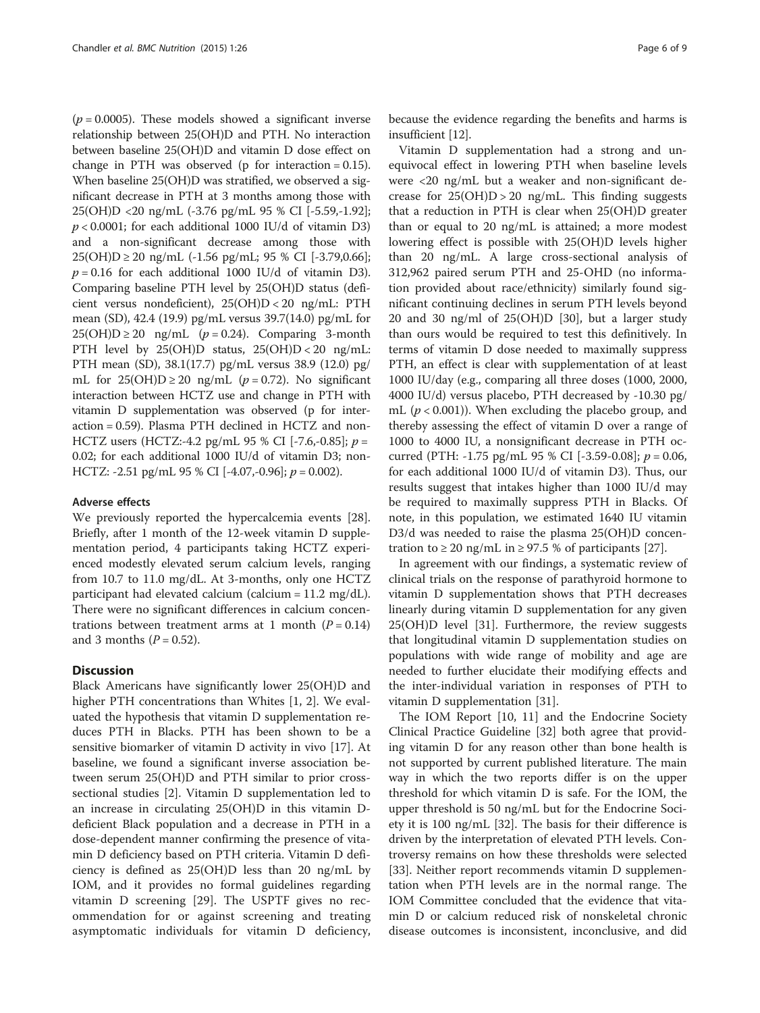$(p = 0.0005)$ . These models showed a significant inverse relationship between 25(OH)D and PTH. No interaction between baseline 25(OH)D and vitamin D dose effect on change in PTH was observed ( $p$  for interaction = 0.15). When baseline 25(OH)D was stratified, we observed a significant decrease in PTH at 3 months among those with 25(OH)D <20 ng/mL (-3.76 pg/mL 95 % CI [-5.59,-1.92];  $p < 0.0001$ ; for each additional 1000 IU/d of vitamin D3) and a non-significant decrease among those with 25(OH)D ≥ 20 ng/mL (-1.56 pg/mL; 95 % CI [-3.79,0.66];  $p = 0.16$  for each additional 1000 IU/d of vitamin D3). Comparing baseline PTH level by 25(OH)D status (deficient versus nondeficient), 25(OH)D < 20 ng/mL: PTH mean (SD), 42.4 (19.9) pg/mL versus 39.7(14.0) pg/mL for  $25(OH)D \ge 20$  ng/mL ( $p = 0.24$ ). Comparing 3-month PTH level by 25(OH)D status, 25(OH)D < 20 ng/mL: PTH mean (SD), 38.1(17.7) pg/mL versus 38.9 (12.0) pg/ mL for  $25(OH)D \ge 20$  ng/mL ( $p = 0.72$ ). No significant interaction between HCTZ use and change in PTH with vitamin D supplementation was observed (p for interaction = 0.59). Plasma PTH declined in HCTZ and non-HCTZ users (HCTZ:-4.2 pg/mL 95 % CI [-7.6,-0.85];  $p =$ 0.02; for each additional 1000 IU/d of vitamin D3; non-HCTZ: -2.51 pg/mL 95 % CI  $[-4.07, -0.96]$ ;  $p = 0.002$ ).

#### Adverse effects

We previously reported the hypercalcemia events [\[28](#page-7-0)]. Briefly, after 1 month of the 12-week vitamin D supplementation period, 4 participants taking HCTZ experienced modestly elevated serum calcium levels, ranging from 10.7 to 11.0 mg/dL. At 3-months, only one HCTZ participant had elevated calcium (calcium = 11.2 mg/dL). There were no significant differences in calcium concentrations between treatment arms at 1 month  $(P = 0.14)$ and 3 months  $(P = 0.52)$ .

#### **Discussion**

Black Americans have significantly lower 25(OH)D and higher PTH concentrations than Whites [[1, 2\]](#page-7-0). We evaluated the hypothesis that vitamin D supplementation reduces PTH in Blacks. PTH has been shown to be a sensitive biomarker of vitamin D activity in vivo [\[17\]](#page-7-0). At baseline, we found a significant inverse association between serum 25(OH)D and PTH similar to prior crosssectional studies [[2\]](#page-7-0). Vitamin D supplementation led to an increase in circulating 25(OH)D in this vitamin Ddeficient Black population and a decrease in PTH in a dose-dependent manner confirming the presence of vitamin D deficiency based on PTH criteria. Vitamin D deficiency is defined as 25(OH)D less than 20 ng/mL by IOM, and it provides no formal guidelines regarding vitamin D screening [\[29](#page-7-0)]. The USPTF gives no recommendation for or against screening and treating asymptomatic individuals for vitamin D deficiency,

because the evidence regarding the benefits and harms is insufficient [[12](#page-7-0)].

Vitamin D supplementation had a strong and unequivocal effect in lowering PTH when baseline levels were <20 ng/mL but a weaker and non-significant decrease for  $25(OH)D > 20$  ng/mL. This finding suggests that a reduction in PTH is clear when 25(OH)D greater than or equal to 20 ng/mL is attained; a more modest lowering effect is possible with 25(OH)D levels higher than 20 ng/mL. A large cross-sectional analysis of 312,962 paired serum PTH and 25-OHD (no information provided about race/ethnicity) similarly found significant continuing declines in serum PTH levels beyond 20 and 30 ng/ml of 25(OH)D [[30](#page-7-0)], but a larger study than ours would be required to test this definitively. In terms of vitamin D dose needed to maximally suppress PTH, an effect is clear with supplementation of at least 1000 IU/day (e.g., comparing all three doses (1000, 2000, 4000 IU/d) versus placebo, PTH decreased by -10.30 pg/ mL ( $p < 0.001$ )). When excluding the placebo group, and thereby assessing the effect of vitamin D over a range of 1000 to 4000 IU, a nonsignificant decrease in PTH occurred (PTH: -1.75 pg/mL 95 % CI [-3.59-0.08];  $p = 0.06$ , for each additional 1000 IU/d of vitamin D3). Thus, our results suggest that intakes higher than 1000 IU/d may be required to maximally suppress PTH in Blacks. Of note, in this population, we estimated 1640 IU vitamin D3/d was needed to raise the plasma 25(OH)D concentration to  $\geq$  20 ng/mL in  $\geq$  97.5 % of participants [[27\]](#page-7-0).

In agreement with our findings, a systematic review of clinical trials on the response of parathyroid hormone to vitamin D supplementation shows that PTH decreases linearly during vitamin D supplementation for any given 25(OH)D level [\[31](#page-7-0)]. Furthermore, the review suggests that longitudinal vitamin D supplementation studies on populations with wide range of mobility and age are needed to further elucidate their modifying effects and the inter-individual variation in responses of PTH to vitamin D supplementation [[31\]](#page-7-0).

The IOM Report [[10, 11](#page-7-0)] and the Endocrine Society Clinical Practice Guideline [\[32](#page-7-0)] both agree that providing vitamin D for any reason other than bone health is not supported by current published literature. The main way in which the two reports differ is on the upper threshold for which vitamin D is safe. For the IOM, the upper threshold is 50 ng/mL but for the Endocrine Society it is 100 ng/mL [[32](#page-7-0)]. The basis for their difference is driven by the interpretation of elevated PTH levels. Controversy remains on how these thresholds were selected [[33\]](#page-8-0). Neither report recommends vitamin D supplementation when PTH levels are in the normal range. The IOM Committee concluded that the evidence that vitamin D or calcium reduced risk of nonskeletal chronic disease outcomes is inconsistent, inconclusive, and did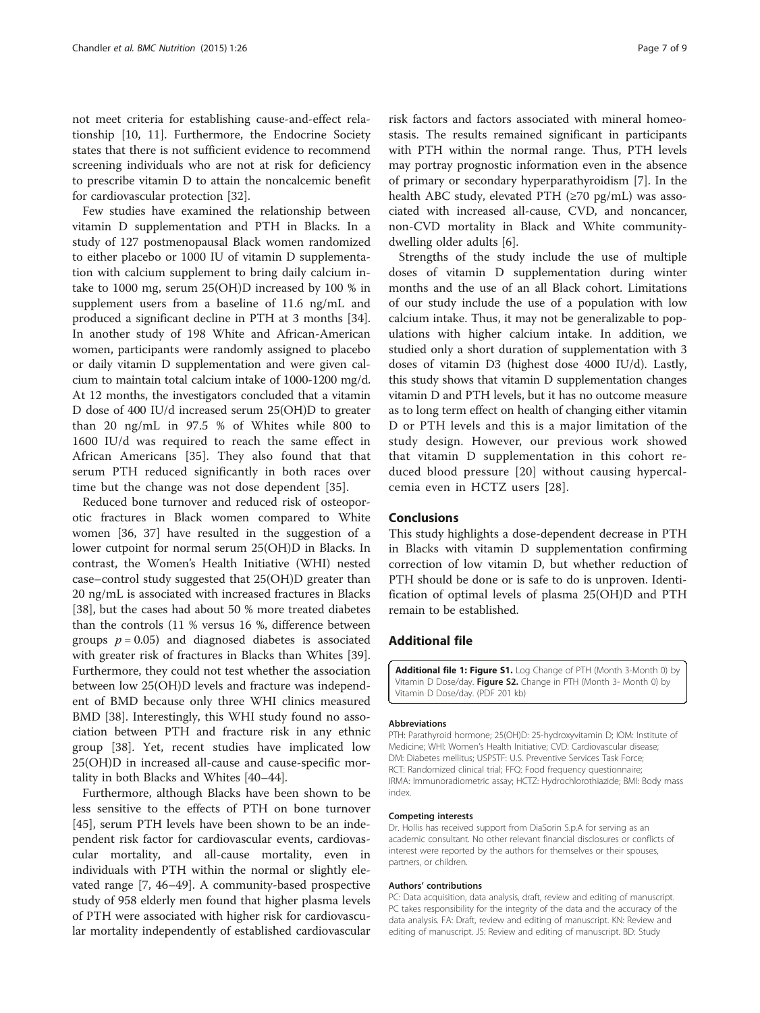<span id="page-6-0"></span>not meet criteria for establishing cause-and-effect relationship [\[10](#page-7-0), [11\]](#page-7-0). Furthermore, the Endocrine Society states that there is not sufficient evidence to recommend screening individuals who are not at risk for deficiency to prescribe vitamin D to attain the noncalcemic benefit for cardiovascular protection [\[32\]](#page-7-0).

Few studies have examined the relationship between vitamin D supplementation and PTH in Blacks. In a study of 127 postmenopausal Black women randomized to either placebo or 1000 IU of vitamin D supplementation with calcium supplement to bring daily calcium intake to 1000 mg, serum 25(OH)D increased by 100 % in supplement users from a baseline of 11.6 ng/mL and produced a significant decline in PTH at 3 months [\[34](#page-8-0)]. In another study of 198 White and African-American women, participants were randomly assigned to placebo or daily vitamin D supplementation and were given calcium to maintain total calcium intake of 1000-1200 mg/d. At 12 months, the investigators concluded that a vitamin D dose of 400 IU/d increased serum 25(OH)D to greater than 20 ng/mL in 97.5 % of Whites while 800 to 1600 IU/d was required to reach the same effect in African Americans [\[35](#page-8-0)]. They also found that that serum PTH reduced significantly in both races over time but the change was not dose dependent [\[35](#page-8-0)].

Reduced bone turnover and reduced risk of osteoporotic fractures in Black women compared to White women [\[36](#page-8-0), [37](#page-8-0)] have resulted in the suggestion of a lower cutpoint for normal serum 25(OH)D in Blacks. In contrast, the Women's Health Initiative (WHI) nested case–control study suggested that 25(OH)D greater than 20 ng/mL is associated with increased fractures in Blacks [[38\]](#page-8-0), but the cases had about 50 % more treated diabetes than the controls (11 % versus 16 %, difference between groups  $p = 0.05$ ) and diagnosed diabetes is associated with greater risk of fractures in Blacks than Whites [\[39](#page-8-0)]. Furthermore, they could not test whether the association between low 25(OH)D levels and fracture was independent of BMD because only three WHI clinics measured BMD [\[38](#page-8-0)]. Interestingly, this WHI study found no association between PTH and fracture risk in any ethnic group [\[38](#page-8-0)]. Yet, recent studies have implicated low 25(OH)D in increased all-cause and cause-specific mortality in both Blacks and Whites [[40](#page-8-0)–[44](#page-8-0)].

Furthermore, although Blacks have been shown to be less sensitive to the effects of PTH on bone turnover [[45\]](#page-8-0), serum PTH levels have been shown to be an independent risk factor for cardiovascular events, cardiovascular mortality, and all-cause mortality, even in individuals with PTH within the normal or slightly elevated range [\[7](#page-7-0), [46](#page-8-0)–[49\]](#page-8-0). A community-based prospective study of 958 elderly men found that higher plasma levels of PTH were associated with higher risk for cardiovascular mortality independently of established cardiovascular

risk factors and factors associated with mineral homeostasis. The results remained significant in participants with PTH within the normal range. Thus, PTH levels may portray prognostic information even in the absence of primary or secondary hyperparathyroidism [[7\]](#page-7-0). In the health ABC study, elevated PTH (≥70 pg/mL) was associated with increased all-cause, CVD, and noncancer, non-CVD mortality in Black and White communitydwelling older adults [\[6](#page-7-0)].

Strengths of the study include the use of multiple doses of vitamin D supplementation during winter months and the use of an all Black cohort. Limitations of our study include the use of a population with low calcium intake. Thus, it may not be generalizable to populations with higher calcium intake. In addition, we studied only a short duration of supplementation with 3 doses of vitamin D3 (highest dose 4000 IU/d). Lastly, this study shows that vitamin D supplementation changes vitamin D and PTH levels, but it has no outcome measure as to long term effect on health of changing either vitamin D or PTH levels and this is a major limitation of the study design. However, our previous work showed that vitamin D supplementation in this cohort reduced blood pressure [[20](#page-7-0)] without causing hypercalcemia even in HCTZ users [\[28](#page-7-0)].

#### Conclusions

This study highlights a dose-dependent decrease in PTH in Blacks with vitamin D supplementation confirming correction of low vitamin D, but whether reduction of PTH should be done or is safe to do is unproven. Identification of optimal levels of plasma 25(OH)D and PTH remain to be established.

#### Additional file

[Additional file 1: Figure S1.](dx.doi.org/10.1186/s40795-015-0024-8) Log Change of PTH (Month 3-Month 0) by Vitamin D Dose/day. Figure S2. Change in PTH (Month 3- Month 0) by Vitamin D Dose/day. (PDF 201 kb)

#### Abbreviations

PTH: Parathyroid hormone; 25(OH)D: 25-hydroxyvitamin D; IOM: Institute of Medicine; WHI: Women's Health Initiative; CVD: Cardiovascular disease; DM: Diabetes mellitus; USPSTF: U.S. Preventive Services Task Force; RCT: Randomized clinical trial; FFQ: Food frequency questionnaire; IRMA: Immunoradiometric assay; HCTZ: Hydrochlorothiazide; BMI: Body mass index.

#### Competing interests

Dr. Hollis has received support from DiaSorin S.p.A for serving as an academic consultant. No other relevant financial disclosures or conflicts of interest were reported by the authors for themselves or their spouses, partners, or children.

#### Authors' contributions

PC: Data acquisition, data analysis, draft, review and editing of manuscript. PC takes responsibility for the integrity of the data and the accuracy of the data analysis. FA: Draft, review and editing of manuscript. KN: Review and editing of manuscript. JS: Review and editing of manuscript. BD: Study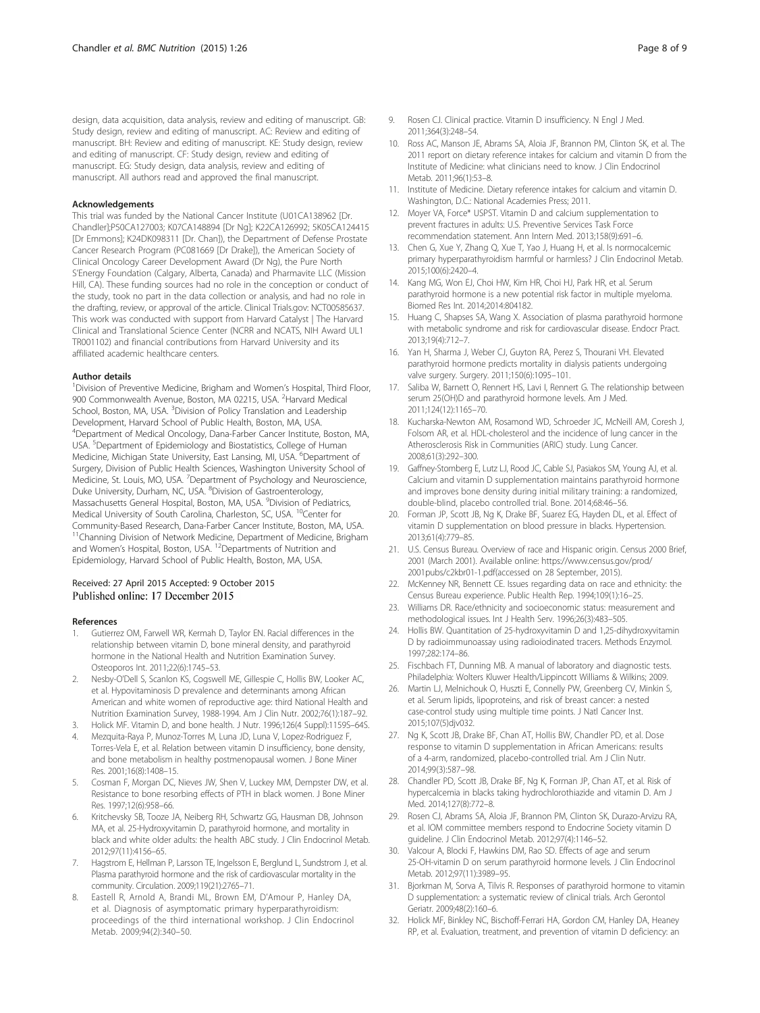<span id="page-7-0"></span>design, data acquisition, data analysis, review and editing of manuscript. GB: Study design, review and editing of manuscript. AC: Review and editing of manuscript. BH: Review and editing of manuscript. KE: Study design, review and editing of manuscript. CF: Study design, review and editing of manuscript. EG: Study design, data analysis, review and editing of manuscript. All authors read and approved the final manuscript.

#### Acknowledgements

This trial was funded by the National Cancer Institute (U01CA138962 [Dr. Chandler];P50CA127003; K07CA148894 [Dr Ng]; K22CA126992; 5K05CA124415 [Dr Emmons]; K24DK098311 [Dr. Chan]), the Department of Defense Prostate Cancer Research Program (PC081669 [Dr Drake]), the American Society of Clinical Oncology Career Development Award (Dr Ng), the Pure North S'Energy Foundation (Calgary, Alberta, Canada) and Pharmavite LLC (Mission Hill, CA). These funding sources had no role in the conception or conduct of the study, took no part in the data collection or analysis, and had no role in the drafting, review, or approval of the article. Clinical Trials.gov: NCT00585637. This work was conducted with support from Harvard Catalyst | The Harvard Clinical and Translational Science Center (NCRR and NCATS, NIH Award UL1 TR001102) and financial contributions from Harvard University and its affiliated academic healthcare centers.

#### Author details

<sup>1</sup> Division of Preventive Medicine, Brigham and Women's Hospital, Third Floor, 900 Commonwealth Avenue, Boston, MA 02215, USA. <sup>2</sup>Harvard Medical School, Boston, MA, USA. <sup>3</sup>Division of Policy Translation and Leadership Development, Harvard School of Public Health, Boston, MA, USA. 4 Department of Medical Oncology, Dana-Farber Cancer Institute, Boston, MA, USA. <sup>5</sup>Department of Epidemiology and Biostatistics, College of Human Medicine, Michigan State University, East Lansing, MI, USA. <sup>6</sup>Department of Surgery, Division of Public Health Sciences, Washington University School of Medicine, St. Louis, MO, USA. <sup>7</sup>Department of Psychology and Neuroscience, Duke University, Durham, NC, USA. <sup>8</sup>Division of Gastroenterology, Massachusetts General Hospital, Boston, MA, USA. <sup>9</sup>Division of Pediatrics, Medical University of South Carolina, Charleston, SC, USA. <sup>10</sup>Center for Community-Based Research, Dana-Farber Cancer Institute, Boston, MA, USA. <sup>11</sup>Channing Division of Network Medicine, Department of Medicine, Brigham and Women's Hospital, Boston, USA. 12Departments of Nutrition and Epidemiology, Harvard School of Public Health, Boston, MA, USA.

# Received: 27 April 2015 Accepted: 9 October 2015<br>Published online: 17 December 2015

#### References

- Gutierrez OM, Farwell WR, Kermah D, Taylor EN. Racial differences in the relationship between vitamin D, bone mineral density, and parathyroid hormone in the National Health and Nutrition Examination Survey. Osteoporos Int. 2011;22(6):1745–53.
- 2. Nesby-O'Dell S, Scanlon KS, Cogswell ME, Gillespie C, Hollis BW, Looker AC, et al. Hypovitaminosis D prevalence and determinants among African American and white women of reproductive age: third National Health and Nutrition Examination Survey, 1988-1994. Am J Clin Nutr. 2002;76(1):187–92.
- 3. Holick MF. Vitamin D, and bone health. J Nutr. 1996;126(4 Suppl):1159S–64S.
- 4. Mezquita-Raya P, Munoz-Torres M, Luna JD, Luna V, Lopez-Rodriguez F, Torres-Vela E, et al. Relation between vitamin D insufficiency, bone density, and bone metabolism in healthy postmenopausal women. J Bone Miner Res. 2001;16(8):1408–15.
- Cosman F, Morgan DC, Nieves JW, Shen V, Luckey MM, Dempster DW, et al. Resistance to bone resorbing effects of PTH in black women. J Bone Miner Res. 1997;12(6):958–66.
- Kritchevsky SB, Tooze JA, Neiberg RH, Schwartz GG, Hausman DB, Johnson MA, et al. 25-Hydroxyvitamin D, parathyroid hormone, and mortality in black and white older adults: the health ABC study. J Clin Endocrinol Metab. 2012;97(11):4156–65.
- Hagstrom E, Hellman P, Larsson TE, Ingelsson E, Berglund L, Sundstrom J, et al. Plasma parathyroid hormone and the risk of cardiovascular mortality in the community. Circulation. 2009;119(21):2765–71.
- Eastell R, Arnold A, Brandi ML, Brown EM, D'Amour P, Hanley DA, et al. Diagnosis of asymptomatic primary hyperparathyroidism: proceedings of the third international workshop. J Clin Endocrinol Metab. 2009;94(2):340–50.
- 9. Rosen CJ. Clinical practice. Vitamin D insufficiency. N Engl J Med. 2011;364(3):248–54.
- 10. Ross AC, Manson JE, Abrams SA, Aloia JF, Brannon PM, Clinton SK, et al. The 2011 report on dietary reference intakes for calcium and vitamin D from the Institute of Medicine: what clinicians need to know. J Clin Endocrinol Metab. 2011;96(1):53–8.
- 11. Institute of Medicine. Dietary reference intakes for calcium and vitamin D. Washington, D.C.: National Academies Press; 2011.
- 12. Moyer VA, Force\* USPST. Vitamin D and calcium supplementation to prevent fractures in adults: U.S. Preventive Services Task Force recommendation statement. Ann Intern Med. 2013;158(9):691–6.
- 13. Chen G, Xue Y, Zhang Q, Xue T, Yao J, Huang H, et al. Is normocalcemic primary hyperparathyroidism harmful or harmless? J Clin Endocrinol Metab. 2015;100(6):2420–4.
- 14. Kang MG, Won EJ, Choi HW, Kim HR, Choi HJ, Park HR, et al. Serum parathyroid hormone is a new potential risk factor in multiple myeloma. Biomed Res Int. 2014;2014:804182.
- 15. Huang C, Shapses SA, Wang X. Association of plasma parathyroid hormone with metabolic syndrome and risk for cardiovascular disease. Endocr Pract. 2013;19(4):712–7.
- 16. Yan H, Sharma J, Weber CJ, Guyton RA, Perez S, Thourani VH. Elevated parathyroid hormone predicts mortality in dialysis patients undergoing valve surgery. Surgery. 2011;150(6):1095–101.
- 17. Saliba W, Barnett O, Rennert HS, Lavi I, Rennert G. The relationship between serum 25(OH)D and parathyroid hormone levels. Am J Med. 2011;124(12):1165–70.
- 18. Kucharska-Newton AM, Rosamond WD, Schroeder JC, McNeill AM, Coresh J, Folsom AR, et al. HDL-cholesterol and the incidence of lung cancer in the Atherosclerosis Risk in Communities (ARIC) study. Lung Cancer. 2008;61(3):292–300.
- 19. Gaffney-Stomberg E, Lutz LJ, Rood JC, Cable SJ, Pasiakos SM, Young AJ, et al. Calcium and vitamin D supplementation maintains parathyroid hormone and improves bone density during initial military training: a randomized, double-blind, placebo controlled trial. Bone. 2014;68:46–56.
- 20. Forman JP, Scott JB, Ng K, Drake BF, Suarez EG, Hayden DL, et al. Effect of vitamin D supplementation on blood pressure in blacks. Hypertension. 2013;61(4):779–85.
- 21. U.S. Census Bureau. Overview of race and Hispanic origin. Census 2000 Brief, 2001 (March 2001). Available online: [https://www.census.gov/prod/](https://www.census.gov/prod/2001pubs/c2kbr01-1.pdf) [2001pubs/c2kbr01-1.pdf](https://www.census.gov/prod/2001pubs/c2kbr01-1.pdf)(accessed on 28 September, 2015).
- 22. McKenney NR, Bennett CE. Issues regarding data on race and ethnicity: the Census Bureau experience. Public Health Rep. 1994;109(1):16–25.
- 23. Williams DR. Race/ethnicity and socioeconomic status: measurement and methodological issues. Int J Health Serv. 1996;26(3):483–505.
- 24. Hollis BW. Quantitation of 25-hydroxyvitamin D and 1,25-dihydroxyvitamin D by radioimmunoassay using radioiodinated tracers. Methods Enzymol. 1997;282:174–86.
- 25. Fischbach FT, Dunning MB. A manual of laboratory and diagnostic tests. Philadelphia: Wolters Kluwer Health/Lippincott Williams & Wilkins; 2009.
- 26. Martin LJ, Melnichouk O, Huszti E, Connelly PW, Greenberg CV, Minkin S, et al. Serum lipids, lipoproteins, and risk of breast cancer: a nested case-control study using multiple time points. J Natl Cancer Inst. 2015;107(5)djv032.
- 27. Ng K, Scott JB, Drake BF, Chan AT, Hollis BW, Chandler PD, et al. Dose response to vitamin D supplementation in African Americans: results of a 4-arm, randomized, placebo-controlled trial. Am J Clin Nutr. 2014;99(3):587–98.
- 28. Chandler PD, Scott JB, Drake BF, Ng K, Forman JP, Chan AT, et al. Risk of hypercalcemia in blacks taking hydrochlorothiazide and vitamin D. Am J Med. 2014;127(8):772–8.
- 29. Rosen CJ, Abrams SA, Aloia JF, Brannon PM, Clinton SK, Durazo-Arvizu RA, et al. IOM committee members respond to Endocrine Society vitamin D guideline. J Clin Endocrinol Metab. 2012;97(4):1146–52.
- 30. Valcour A, Blocki F, Hawkins DM, Rao SD. Effects of age and serum 25-OH-vitamin D on serum parathyroid hormone levels. J Clin Endocrinol Metab. 2012;97(11):3989–95.
- 31. Bjorkman M, Sorva A, Tilvis R. Responses of parathyroid hormone to vitamin D supplementation: a systematic review of clinical trials. Arch Gerontol Geriatr. 2009;48(2):160–6.
- 32. Holick MF, Binkley NC, Bischoff-Ferrari HA, Gordon CM, Hanley DA, Heaney RP, et al. Evaluation, treatment, and prevention of vitamin D deficiency: an